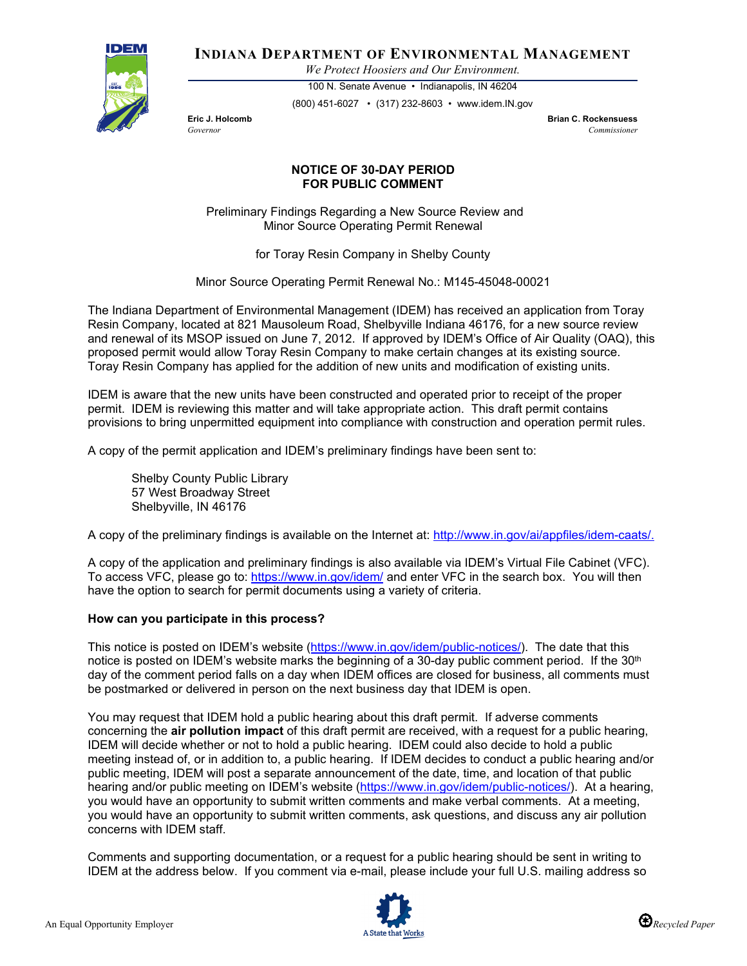

**INDIANA DEPARTMENT OF ENVIRONMENTAL MANAGEMENT**

*We Protect Hoosiers and Our Environment.*

100 N. Senate Avenue • Indianapolis, IN 46204 (800) 451-6027 • (317) 232-8603 • www.idem.IN.gov

**Eric J. Holcomb Brian C. Rockensuess** *Governor Commissioner* 

## **NOTICE OF 30-DAY PERIOD FOR PUBLIC COMMENT**

Preliminary Findings Regarding a New Source Review and Minor Source Operating Permit Renewal

for Toray Resin Company in Shelby County

Minor Source Operating Permit Renewal No.: M145-45048-00021

The Indiana Department of Environmental Management (IDEM) has received an application from Toray Resin Company, located at 821 Mausoleum Road, Shelbyville Indiana 46176, for a new source review and renewal of its MSOP issued on June 7, 2012. If approved by IDEM's Office of Air Quality (OAQ), this proposed permit would allow Toray Resin Company to make certain changes at its existing source. Toray Resin Company has applied for the addition of new units and modification of existing units.

IDEM is aware that the new units have been constructed and operated prior to receipt of the proper permit. IDEM is reviewing this matter and will take appropriate action. This draft permit contains provisions to bring unpermitted equipment into compliance with construction and operation permit rules.

A copy of the permit application and IDEM's preliminary findings have been sent to:

Shelby County Public Library 57 West Broadway Street Shelbyville, IN 46176

A copy of the preliminary findings is available on the Internet at: [http://www.in.gov/ai/appfiles/idem-caats/.](http://www.in.gov/ai/appfiles/idem-caats/)

A copy of the application and preliminary findings is also available via IDEM's Virtual File Cabinet (VFC). To access VFC, please go to:<https://www.in.gov/idem/> and enter VFC in the search box. You will then have the option to search for permit documents using a variety of criteria.

## **How can you participate in this process?**

This notice is posted on IDEM's website [\(https://www.in.gov/idem/public-notices/\)](https://www.in.gov/idem/public-notices/). The date that this notice is posted on IDEM's website marks the beginning of a 30-day public comment period. If the 30<sup>th</sup> day of the comment period falls on a day when IDEM offices are closed for business, all comments must be postmarked or delivered in person on the next business day that IDEM is open.

You may request that IDEM hold a public hearing about this draft permit. If adverse comments concerning the **air pollution impact** of this draft permit are received, with a request for a public hearing, IDEM will decide whether or not to hold a public hearing. IDEM could also decide to hold a public meeting instead of, or in addition to, a public hearing. If IDEM decides to conduct a public hearing and/or public meeting, IDEM will post a separate announcement of the date, time, and location of that public hearing and/or public meeting on IDEM's website [\(https://www.in.gov/idem/public-notices/\)](https://www.in.gov/idem/public-notices/). At a hearing, you would have an opportunity to submit written comments and make verbal comments. At a meeting, you would have an opportunity to submit written comments, ask questions, and discuss any air pollution concerns with IDEM staff.

Comments and supporting documentation, or a request for a public hearing should be sent in writing to IDEM at the address below. If you comment via e-mail, please include your full U.S. mailing address so